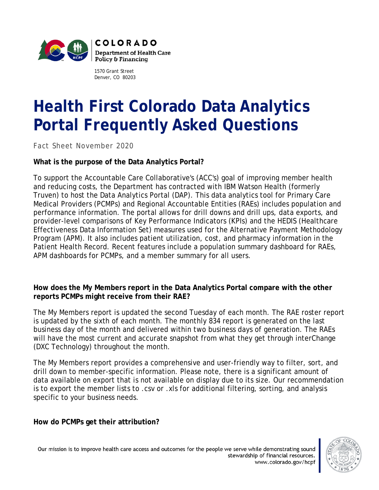

1570 Grant Street Denver, CO 80203

# **Health First Colorado Data Analytics Portal Frequently Asked Questions**

*Fact Sheet November 2020*

## **What is the purpose of the Data Analytics Portal?**

To support the Accountable Care Collaborative's (ACC's) goal of improving member health and reducing costs, the Department has contracted with IBM Watson Health (formerly Truven) to host the Data Analytics Portal (DAP). This data analytics tool for Primary Care Medical Providers (PCMPs) and Regional Accountable Entities (RAEs) includes population and performance information. The portal allows for drill downs and drill ups, data exports, and provider-level comparisons of Key Performance Indicators (KPIs) and the HEDIS (Healthcare Effectiveness Data Information Set) measures used for the Alternative Payment Methodology Program (APM). It also includes patient utilization, cost, and pharmacy information in the Patient Health Record. Recent features include a population summary dashboard for RAEs, APM dashboards for PCMPs, and a member summary for all users.

#### **How does the My Members report in the Data Analytics Portal compare with the other reports PCMPs might receive from their RAE?**

The My Members report is updated the second Tuesday of each month. The RAE roster report is updated by the sixth of each month. The monthly 834 report is generated on the last business day of the month and delivered within two business days of generation. The RAEs will have the most current and accurate snapshot from what they get through interChange (DXC Technology) throughout the month.

The My Members report provides a comprehensive and user-friendly way to filter, sort, and drill down to member-specific information. Please note, there is a significant amount of data available on export that is not available on display due to its size. Our recommendation is to export the member lists to .csv or .xls for additional filtering, sorting, and analysis specific to your business needs.

**How do PCMPs get their attribution?**

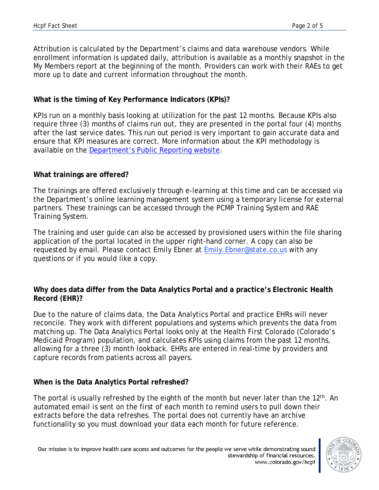Attribution is calculated by the Department's claims and data warehouse vendors. While enrollment information is updated daily, attribution is available as a monthly snapshot in the My Members report at the beginning of the month. Providers can work with their RAEs to get more up to date and current information throughout the month.

## **What is the timing of Key Performance Indicators (KPIs)?**

KPIs run on a monthly basis looking at utilization for the past 12 months. Because KPIs also require three (3) months of claims run out, they are presented in the portal four (4) months after the last service dates. This run out period is very important to gain accurate data and ensure that KPI measures are correct. More information about the KPI methodology is available on the [Department's Public Reporting website.](https://www.colorado.gov/pacific/hcpf/accountable-care-collaborative-public-reporting)

## **What trainings are offered?**

The trainings are offered exclusively through e-learning at this time and can be accessed via the Department's online learning management system using a temporary license for external partners. These trainings can be accessed through the [PCMP Training System](https://colearn.csod.com/selfreg/register.aspx?c=hcpfpcmp) and [RAE](https://colearn.csod.com/selfreg/register.aspx?c=hcpfrae)  [Training System.](https://colearn.csod.com/selfreg/register.aspx?c=hcpfrae)

The training and user guide can also be accessed by provisioned users within the file sharing application of the portal located in the upper right-hand corner. A copy can also be requested by email. Please contact Emily Ebner at Emily. Ebner@state.co.us with any questions or if you would like a copy.

## **Why does data differ from the Data Analytics Portal and a practice's Electronic Health Record (EHR)?**

Due to the nature of claims data, the Data Analytics Portal and practice EHRs will never reconcile. They work with different populations and systems which prevents the data from matching up. The Data Analytics Portal looks only at the Health First Colorado (Colorado's Medicaid Program) population, and calculates KPIs using claims from the past 12 months, allowing for a three (3) month lookback. EHRs are entered in real-time by providers and capture records from patients across all payers.

## **When is the Data Analytics Portal refreshed?**

The portal is usually refreshed by the eighth of the month but never later than the 12<sup>th</sup>. An automated email is sent on the first of each month to remind users to pull down their extracts before the data refreshes. The portal does not currently have an archive functionality so you must download your data each month for future reference.

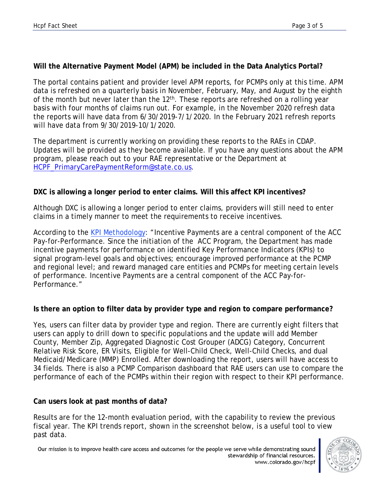## **Will the Alternative Payment Model (APM) be included in the Data Analytics Portal?**

The portal contains patient and provider level APM reports, for PCMPs only at this time. APM data is refreshed on a quarterly basis in November, February, May, and August by the eighth of the month but never later than the 12<sup>th</sup>. These reports are refreshed on a rolling year basis with four months of claims run out. For example, in the November 2020 refresh data the reports will have data from 6/30/2019-7/1/2020. In the February 2021 refresh reports will have data from 9/30/2019-10/1/2020.

The department is currently working on providing these reports to the RAEs in CDAP. Updates will be provided as they become available. If you have any questions about the APM program, please reach out to your RAE representative or the Department at [HCPF\\_PrimaryCarePaymentReform@state.co.us.](mailto:HCPF_PrimaryCarePaymentReform@state.co.us)

## **DXC is allowing a longer period to enter claims. Will this affect KPI incentives?**

Although DXC is allowing a longer period to enter claims, providers will still need to enter claims in a timely manner to meet the requirements to receive incentives.

According to the [KPI Methodology:](https://www.colorado.gov/pacific/sites/default/files/Key%20Performance%20Indicator%20Methodology%20Updated%20May%202019.pdf) "Incentive Payments are a central component of the ACC Pay-for-Performance. Since the initiation of the ACC Program, the Department has made incentive payments for performance on identified Key Performance Indicators (KPIs) to signal program-level goals and objectives; encourage improved performance at the PCMP and regional level; and reward managed care entities and PCMPs for meeting certain levels of performance. Incentive Payments are a central component of the ACC Pay-for-Performance."

## **Is there an option to filter data by provider type and region to compare performance?**

Yes, users can filter data by provider type and region. There are currently eight filters that users can apply to drill down to specific populations and the update will add Member County, Member Zip, Aggregated Diagnostic Cost Grouper (ADCG) Category, Concurrent Relative Risk Score, ER Visits, Eligible for Well-Child Check, Well-Child Checks, and dual Medicaid/Medicare (MMP) Enrolled. After downloading the report, users will have access to 34 fields. There is also a PCMP Comparison dashboard that RAE users can use to compare the performance of each of the PCMPs within their region with respect to their KPI performance.

## **Can users look at past months of data?**

Results are for the 12-month evaluation period, with the capability to review the previous fiscal year. The KPI trends report, shown in the screenshot below, is a useful tool to view past data.

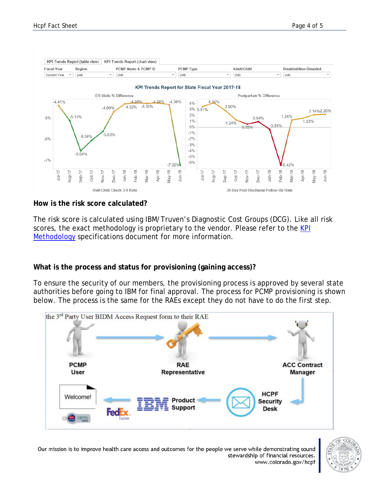

#### **How is the risk score calculated?**

The risk score is calculated using IBM/Truven's Diagnostic Cost Groups (DCG). Like all risk scores, the exact methodology is proprietary to the vendor. Please refer to the KPI [Methodology](https://www.colorado.gov/pacific/sites/default/files/Key%20Performance%20Indicator%20Methodology%20Updated%20May%202019.pdf) specifications document for more information.

#### **What is the process and status for provisioning (gaining access)?**

To ensure the security of our members, the provisioning process is approved by several state authorities before going to IBM for final approval. The process for PCMP provisioning is shown below. The process is the same for the RAEs except they do not have to do the first step.





Our mission is to improve health care access and outcomes for the people we serve while demonstrating sound stewardship of financial resources. www.colorado.gov/hcpf